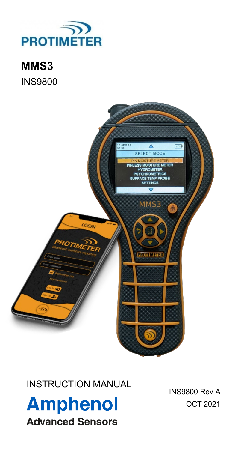

**MMS3** INS9800



INSTRUCTION MANUAL

**Amphenol Advanced Sensors** 

INS9800 Rev A OCT 2021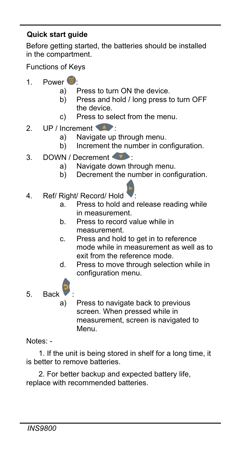## **Quick start guide**

Before getting started, the batteries should be installed in the compartment.

Functions of Keys

- 1 Power  $\overline{0}$ 
	- a) Press to turn ON the device.
	- b) Press and hold / long press to turn OFF the device.
	- c) Press to select from the menu.
- 2. UP / Increment  $\bullet$ 
	- a) Navigate up through menu.
	- b) Increment the number in configuration.
- 3. DOWN / Decrement
	- a) Navigate down through menu.
	- b) Decrement the number in configuration.
- 4. Ref/ Right/ Record/ Hold
	- a. Press to hold and release reading while in measurement.
	- b. Press to record value while in measurement.
	- c. Press and hold to get in to reference mode while in measurement as well as to exit from the reference mode.
	- d. Press to move through selection while in configuration menu.
- 5. Back :
	- a) Press to navigate back to previous screen. When pressed while in measurement, screen is navigated to Menu.

Notes: -

 1. If the unit is being stored in shelf for a long time, it is better to remove batteries.

 2. For better backup and expected battery life, replace with recommended batteries.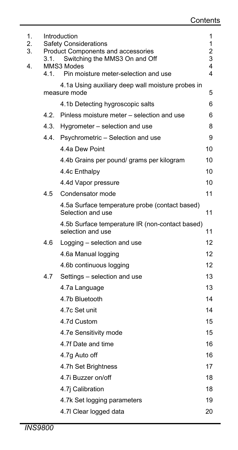| 1.<br>2.<br>3.<br>4. | Introduction<br><b>Safety Considerations</b><br>2<br><b>Product Components and accessories</b><br>3<br>Switching the MMS3 On and Off<br>3.1.<br>4<br>MMS3 Modes |                                                                      |    |
|----------------------|-----------------------------------------------------------------------------------------------------------------------------------------------------------------|----------------------------------------------------------------------|----|
|                      | 4.1.                                                                                                                                                            | Pin moisture meter-selection and use                                 | 4  |
|                      |                                                                                                                                                                 | 4.1a Using auxiliary deep wall moisture probes in<br>measure mode    | 5  |
|                      |                                                                                                                                                                 | 4.1b Detecting hygroscopic salts                                     | 6  |
|                      | 42                                                                                                                                                              | Pinless moisture meter – selection and use                           | 6  |
|                      | 4.3.                                                                                                                                                            | Hygrometer - selection and use                                       | 8  |
|                      | 4.4.                                                                                                                                                            | Psychrometric - Selection and use                                    | 9  |
|                      |                                                                                                                                                                 | 4.4a Dew Point                                                       | 10 |
|                      |                                                                                                                                                                 | 4.4b Grains per pound/ grams per kilogram                            | 10 |
|                      |                                                                                                                                                                 | 4.4c Enthalpy                                                        | 10 |
|                      |                                                                                                                                                                 | 4.4d Vapor pressure                                                  | 10 |
|                      | 4.5                                                                                                                                                             | Condensator mode                                                     | 11 |
|                      |                                                                                                                                                                 | 4.5a Surface temperature probe (contact based)<br>Selection and use  | 11 |
|                      |                                                                                                                                                                 | 4.5b Surface temperature IR (non-contact based)<br>selection and use | 11 |
|                      | 4.6                                                                                                                                                             | Logging - selection and use                                          | 12 |
|                      |                                                                                                                                                                 | 4.6a Manual logging                                                  | 12 |
|                      |                                                                                                                                                                 | 4.6b continuous logging                                              | 12 |
|                      | 4.7                                                                                                                                                             | Settings - selection and use                                         | 13 |
|                      |                                                                                                                                                                 | 4.7a Language                                                        | 13 |
|                      |                                                                                                                                                                 | 4.7b Bluetooth                                                       | 14 |
|                      |                                                                                                                                                                 | 4.7c Set unit                                                        | 14 |
|                      |                                                                                                                                                                 | 4.7d Custom                                                          | 15 |
|                      |                                                                                                                                                                 | 4.7e Sensitivity mode                                                | 15 |
|                      |                                                                                                                                                                 | 4.7f Date and time                                                   | 16 |
|                      |                                                                                                                                                                 | 4.7g Auto off                                                        | 16 |
|                      |                                                                                                                                                                 | 4.7h Set Brightness                                                  | 17 |
|                      |                                                                                                                                                                 | 4.7i Buzzer on/off                                                   | 18 |
|                      |                                                                                                                                                                 | 4.7j Calibration                                                     | 18 |
|                      |                                                                                                                                                                 | 4.7k Set logging parameters                                          | 19 |
|                      |                                                                                                                                                                 | 4.7I Clear logged data                                               | 20 |
|                      |                                                                                                                                                                 |                                                                      |    |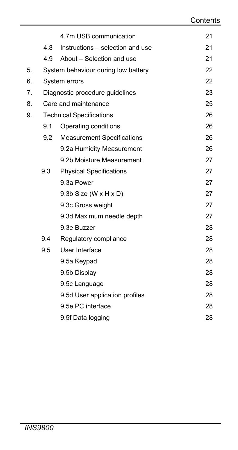|    |     | 4.7m USB communication              | 21 |
|----|-----|-------------------------------------|----|
|    | 4.8 | Instructions - selection and use    | 21 |
|    |     | 4.9 About – Selection and use       | 21 |
| 5. |     | System behaviour during low battery | 22 |
| 6. |     | System errors                       | 22 |
| 7. |     | Diagnostic procedure quidelines     | 23 |
| 8. |     | Care and maintenance                | 25 |
| 9. |     | <b>Technical Specifications</b>     | 26 |
|    | 9.1 | Operating conditions                | 26 |
|    |     | 9.2 Measurement Specifications      | 26 |
|    |     | 9.2a Humidity Measurement           | 26 |
|    |     | 9.2b Moisture Measurement           | 27 |
|    | 9.3 | <b>Physical Specifications</b>      | 27 |
|    |     | 9.3a Power                          | 27 |
|    |     | $9.3b$ Size (W x H x D)             | 27 |
|    |     | 9.3c Gross weight                   | 27 |
|    |     | 9.3d Maximum needle depth           | 27 |
|    |     | 9.3e Buzzer                         | 28 |
|    | 9.4 | Regulatory compliance               | 28 |
|    | 9.5 | User Interface                      | 28 |
|    |     | 9.5a Keypad                         | 28 |
|    |     | 9.5b Display                        | 28 |
|    |     | 9.5c Language                       | 28 |
|    |     | 9.5d User application profiles      | 28 |
|    |     | 9.5e PC interface                   | 28 |
|    |     | 9.5f Data logging                   | 28 |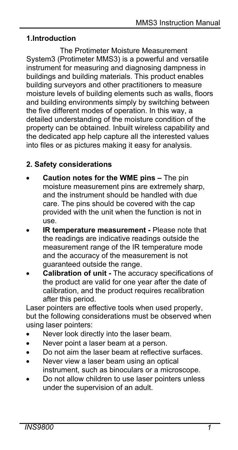# **1.Introduction**

The Protimeter Moisture Measurement System3 (Protimeter MMS3) is a powerful and versatile instrument for measuring and diagnosing dampness in buildings and building materials. This product enables building surveyors and other practitioners to measure moisture levels of building elements such as walls, floors and building environments simply by switching between the five different modes of operation. In this way, a detailed understanding of the moisture condition of the property can be obtained. Inbuilt wireless capability and the dedicated app help capture all the interested values into files or as pictures making it easy for analysis.

# **2. Safety considerations**

- **Caution notes for the WME pins –** The pin moisture measurement pins are extremely sharp, and the instrument should be handled with due care. The pins should be covered with the cap provided with the unit when the function is not in use.
- **IR temperature measurement -** Please note that the readings are indicative readings outside the measurement range of the IR temperature mode and the accuracy of the measurement is not guaranteed outside the range.
- **Calibration of unit -** The accuracy specifications of the product are valid for one year after the date of calibration, and the product requires recalibration after this period.

Laser pointers are effective tools when used properly, but the following considerations must be observed when using laser pointers:

- Never look directly into the laser beam.
- Never point a laser beam at a person.
- Do not aim the laser beam at reflective surfaces.
- Never view a laser beam using an optical instrument, such as binoculars or a microscope.
- Do not allow children to use laser pointers unless under the supervision of an adult.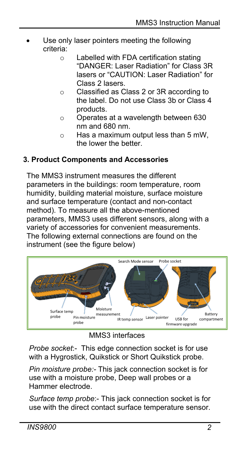- Use only laser pointers meeting the following criteria:
	- o Labelled with FDA certification stating "DANGER: Laser Radiation" for Class 3R lasers or "CAUTION: Laser Radiation" for Class 2 lasers.
	- o Classified as Class 2 or 3R according to the label. Do not use Class 3b or Class 4 products.
	- o Operates at a wavelength between 630 nm and 680 nm.
	- o Has a maximum output less than 5 mW, the lower the better.

# **3. Product Components and Accessories**

The MMS3 instrument measures the different parameters in the buildings: room temperature, room humidity, building material moisture, surface moisture and surface temperature (contact and non-contact method). To measure all the above-mentioned parameters, MMS3 uses different sensors, along with a variety of accessories for convenient measurements. The following external connections are found on the instrument (see the figure below)



MMS3 interfaces

*Probe socket*:- This edge connection socket is for use with a Hygrostick, Quikstick or Short Quikstick probe.

*Pin moisture probe:-* This jack connection socket is for use with a moisture probe, Deep wall probes or a Hammer electrode.

*Surface temp probe*:- This jack connection socket is for use with the direct contact surface temperature sensor.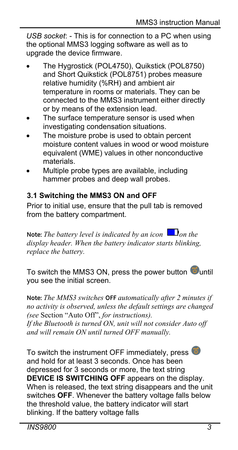*USB socket*: - This is for connection to a PC when using the optional MMS3 logging software as well as to upgrade the device firmware.

- The Hygrostick (POL4750), Quikstick (POL8750) and Short Quikstick (POL8751) probes measure relative humidity (%RH) and ambient air temperature in rooms or materials. They can be connected to the MMS3 instrument either directly or by means of the extension lead.
- The surface temperature sensor is used when investigating condensation situations.
- The moisture probe is used to obtain percent moisture content values in wood or wood moisture equivalent (WME) values in other nonconductive materials.
- Multiple probe types are available, including hammer probes and deep wall probes.

## **3.1 Switching the MMS3 ON and OFF**

Prior to initial use, ensure that the pull tab is removed from the battery compartment.

**Note:** *The battery level is indicated by an icon*  $\Box$  *on the display header. When the battery indicator starts blinking, replace the battery.*

To switch the MMS3 ON, press the power button  $\bigcirc$  until you see the initial screen.

**Note:** *The MMS3 switches* **OFF** *automatically after 2 minutes if no activity is observed, unless the default settings are changed (see* Section "Auto Off", *for instructions). If the Bluetooth is turned ON, unit will not consider Auto off and will remain ON until turned OFF manually.*

To switch the instrument OFF immediately, press and hold for at least 3 seconds. Once has been depressed for 3 seconds or more, the text string **DEVICE IS SWITCHING OFF** appears on the display. When is released, the text string disappears and the unit switches **OFF**. Whenever the battery voltage falls below the threshold value, the battery indicator will start blinking. If the battery voltage falls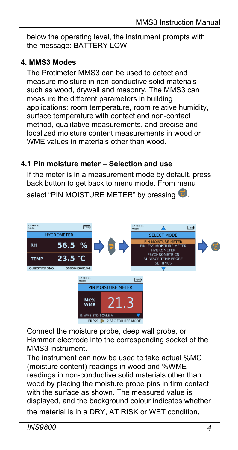below the operating level, the instrument prompts with the message: BATTERY LOW

## **4. MMS3 Modes**

The Protimeter MMS3 can be used to detect and measure moisture in non-conductive solid materials such as wood, drywall and masonry. The MMS3 can measure the different parameters in building applications: room temperature, room relative humidity, surface temperature with contact and non-contact method, qualitative measurements, and precise and localized moisture content measurements in wood or WME values in materials other than wood.

## **4.1 Pin moisture meter – Selection and use**

If the meter is in a measurement mode by default, press back button to get back to menu mode. From menu

select "PIN MOISTURE METER" by pressing



Connect the moisture probe, deep wall probe, or Hammer electrode into the corresponding socket of the MMS3 instrument.

The instrument can now be used to take actual %MC (moisture content) readings in wood and %WME readings in non-conductive solid materials other than wood by placing the moisture probe pins in firm contact with the surface as shown. The measured value is displayed, and the background colour indicates whether

the material is in a DRY, AT RISK or WET condition.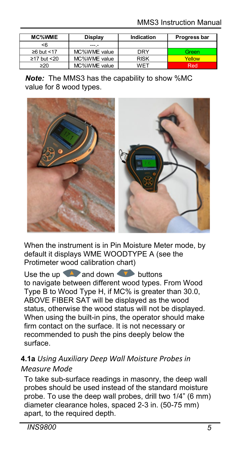| <b>MC%WME</b>     | Display      | Indication  | Progress bar |
|-------------------|--------------|-------------|--------------|
| <6                | ---.-        |             |              |
| ≥6 but <17        | MC%WME value | DRY         | Green        |
| $\geq$ 17 but <20 | MC%WME value | <b>RISK</b> | Yellow       |
| $\geq 20$         | MC%WME value | WFT         | Red          |

*Note:* The MMS3 has the capability to show %MC value for 8 wood types.



When the instrument is in Pin Moisture Meter mode, by default it displays WME WOODTYPE A (see the Protimeter wood calibration chart)

Use the up  $\triangle$  and down  $\triangle$  buttons to navigate between different wood types. From Wood Type B to Wood Type H, if MC% is greater than 30.0, ABOVE FIBER SAT will be displayed as the wood status, otherwise the wood status will not be displayed. When using the built-in pins, the operator should make firm contact on the surface. It is not necessary or recommended to push the pins deeply below the surface.

## **4.1a** *Using Auxiliary Deep Wall Moisture Probes in Measure Mode*

To take sub-surface readings in masonry, the deep wall probes should be used instead of the standard moisture probe. To use the deep wall probes, drill two 1/4" (6 mm) diameter clearance holes, spaced 2-3 in. (50-75 mm) apart, to the required depth.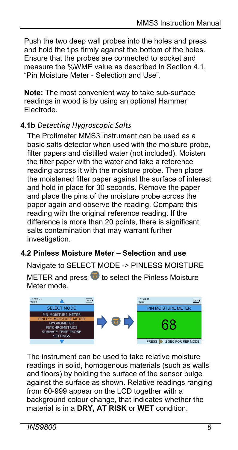Push the two deep wall probes into the holes and press and hold the tips firmly against the bottom of the holes. Ensure that the probes are connected to socket and measure the %WME value as described in Section 4.1, "Pin Moisture Meter - Selection and Use".

**Note:** The most convenient way to take sub-surface readings in wood is by using an optional Hammer Electrode.

# **4.1b** *Detecting Hygroscopic Salts*

The Protimeter MMS3 instrument can be used as a basic salts detector when used with the moisture probe, filter papers and distilled water (not included). Moisten the filter paper with the water and take a reference reading across it with the moisture probe. Then place the moistened filter paper against the surface of interest and hold in place for 30 seconds. Remove the paper and place the pins of the moisture probe across the paper again and observe the reading. Compare this reading with the original reference reading. If the difference is more than 20 points, there is significant salts contamination that may warrant further investigation.

## **4.2 Pinless Moisture Meter – Selection and use**

Navigate to SELECT MODE -> PINLESS MOISTURE

METER and press  $\bullet$  to select the Pinless Moisture Meter mode.



The instrument can be used to take relative moisture readings in solid, homogenous materials (such as walls and floors) by holding the surface of the sensor bulge against the surface as shown. Relative readings ranging from 60-999 appear on the LCD together with a background colour change, that indicates whether the material is in a **DRY, AT RISK** or **WET** condition.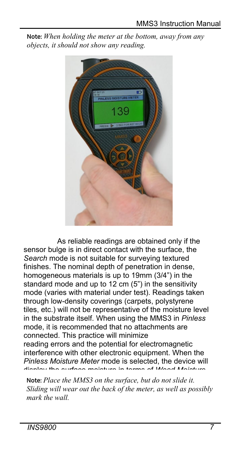**Note:** *When holding the meter at the bottom, away from any objects, it should not show any reading.*



As reliable readings are obtained only if the sensor bulge is in direct contact with the surface, the *Search* mode is not suitable for surveying textured finishes. The nominal depth of penetration in dense, homogeneous materials is up to 19mm (3/4") in the standard mode and up to 12 cm (5") in the sensitivity mode (varies with material under test). Readings taken through low-density coverings (carpets, polystyrene tiles, etc.) will not be representative of the moisture level in the substrate itself. When using the MMS3 in *Pinless*  mode, it is recommended that no attachments are connected. This practice will minimize reading errors and the potential for electromagnetic interference with other electronic equipment. When the *Pinless Moisture Meter* mode is selected, the device will display the surface moisture in terms of *Wood Moisture*

**Note:** *Place the MMS3 on the surface, but do not slide it. Sliding will wear out the back of the meter, as well as possibly mark the wall.*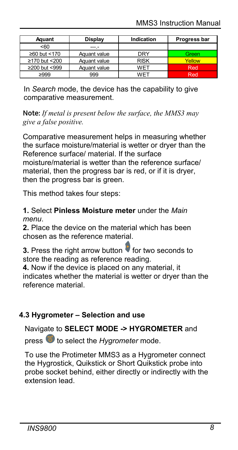| Aquant        | Display      | Indication  | Progress bar |
|---------------|--------------|-------------|--------------|
| $50-$         | ---.-        |             |              |
| ≥60 but <170  | Aquant value | <b>DRY</b>  | Green        |
| ≥170 but <200 | Aquant value | <b>RISK</b> | Yellow       |
| ≥200 but <999 | Aquant value | WET         | Red          |
| $\geq$ 999    | 999          | WFT         | Red          |

In *Search* mode, the device has the capability to give comparative measurement.

**Note:** *If metal is present below the surface, the MMS3 may give a false positive.*

Comparative measurement helps in measuring whether the surface moisture/material is wetter or dryer than the Reference surface/ material. If the surface moisture/material is wetter than the reference surface/ material, then the progress bar is red, or if it is dryer, then the progress bar is green.

This method takes four steps:

**1.** Select **Pinless Moisture meter** under the *Main menu*.

**2.** Place the device on the material which has been chosen as the reference material.

**3.** Press the right arrow button **for two seconds to** store the reading as reference reading.

**4.** Now if the device is placed on any material, it indicates whether the material is wetter or dryer than the reference material.

## **4.3 Hygrometer – Selection and use**

Navigate to **SELECT MODE -> HYGROMETER** and

press **to** to select the *Hygrometer* mode.

To use the Protimeter MMS3 as a Hygrometer connect the Hygrostick, Quikstick or Short Quikstick probe into probe socket behind, either directly or indirectly with the extension lead.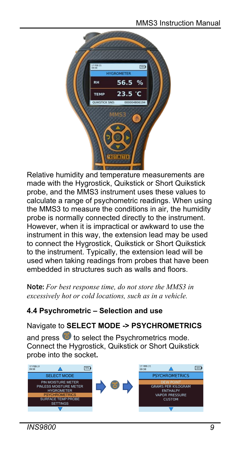

Relative humidity and temperature measurements are made with the Hygrostick, Quikstick or Short Quikstick probe, and the MMS3 instrument uses these values to calculate a range of psychometric readings. When using the MMS3 to measure the conditions in air, the humidity probe is normally connected directly to the instrument. However, when it is impractical or awkward to use the instrument in this way, the extension lead may be used to connect the Hygrostick, Quikstick or Short Quikstick to the instrument. Typically, the extension lead will be used when taking readings from probes that have been embedded in structures such as walls and floors.

**Note:** *For best response time, do not store the MMS3 in excessively hot or cold locations, such as in a vehicle.*

## **4.4 Psychrometric – Selection and use**

## Navigate to **SELECT MODE -> PSYCHROMETRICS**

and press  $\overline{\bullet}$  to select the Psychrometrics mode. Connect the Hygrostick, Quikstick or Short Quikstick probe into the socket**.**

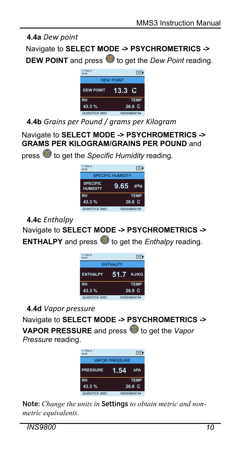# **4.4a** *Dew point*

Navigate to **SELECT MODE -> PSYCHROMETRICS ->** 

**DEW POINT** and press **b** to get the *Dew Point* reading.



**4.4b** *Grains per Pound / grams per Kilogram*

press  $\bullet$  to get the *Specific Humidity* reading.

Navigate to **SELECT MODE -> PSYCHROMETRICS -> GRAMS PER KILOGRAM/GRAINS PER POUND** and

> KSTICK SNO SPECIFIC HUMIDITY 78% 17 FEB 21 09:58 **SPECIFIC HUMIDITY RH 9.65 43.3 % 26.8 C TEMP g/kg**

**4.4c** *Enthalpy*

Navigate to **SELECT MODE -> PSYCHROMETRICS -> ENTHALPY** and press **to** to get the *Enthalpy* reading.



**4.4d** *Vapor pressure*

Navigate to **SELECT MODE -> PSYCHROMETRICS ->** 

**VAPOR PRESSURE** and press **the and press to get the** *Vapor Pressure* reading.



**Note:** *Change the units in* **Settings** *to obtain metric and nonmetric equivalents.*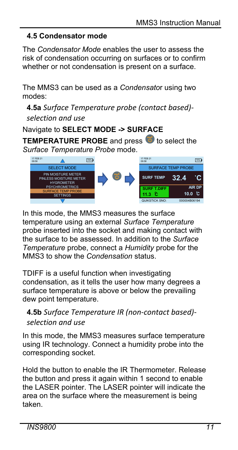## **4.5 Condensator mode**

The *Condensator Mode* enables the user to assess the risk of condensation occurring on surfaces or to confirm whether or not condensation is present on a surface.

The MMS3 can be used as a *Condensato*r using two modes:

**4.5a** *Surface Temperature probe (contact based) selection and use*

# Navigate to **SELECT MODE -> SURFACE**

**TEMPERATURE PROBE** and press **to** to select the *Surface Temperature Probe* mode.



In this mode, the MMS3 measures the surface temperature using an external *Surface Temperature*  probe inserted into the socket and making contact with the surface to be assessed. In addition to the *Surface Temperature* probe, connect a *Humidity* probe for the MMS3 to show the *Condensation* status.

TDIFF is a useful function when investigating condensation, as it tells the user how many degrees a surface temperature is above or below the prevailing dew point temperature.

# **4.5b** *Surface Temperature IR (non-contact based) selection and use*

In this mode, the MMS3 measures surface temperature using IR technology. Connect a humidity probe into the corresponding socket.

Hold the button to enable the IR Thermometer. Release the button and press it again within 1 second to enable the LASER pointer. The LASER pointer will indicate the area on the surface where the measurement is being taken.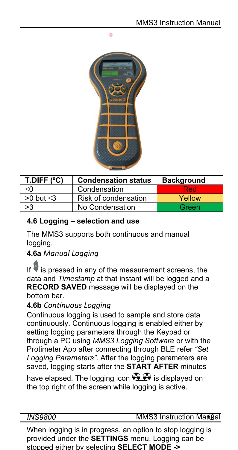ö



| $T.D$ IFF $(°C)$  | <b>Condensation status</b> | <b>Background</b> |
|-------------------|----------------------------|-------------------|
| <0                | Condensation               | Red               |
| $>0$ but $\leq$ 3 | Risk of condensation       | Yellow            |
| >3                | No Condensation            | Green             |

## **4.6 Logging – selection and use**

The MMS3 supports both continuous and manual logging.

## **4.6a** *Manual Logging*

If  $\blacktriangledown$  is pressed in any of the measurement screens, the data and *Timestamp* at that instant will be logged and a **RECORD SAVED** message will be displayed on the bottom bar.

### **4.6b** *Continuous Logging*

Continuous logging is used to sample and store data continuously. Continuous logging is enabled either by setting logging parameters through the Keypad or through a PC using *MMS3 Logging Software* or with the Protimeter App after connecting through BLE refer *"Set Logging Parameters".* After the logging parameters are saved, logging starts after the **START AFTER** minutes

have elapsed. The logging icon  $\bigoplus$  is displayed on the top right of the screen while logging is active.

*INS9800* MMS3 Instruction Manual

When logging is in progress, an option to stop logging is provided under the **SETTINGS** menu. Logging can be stopped either by selecting **SELECT MODE ->**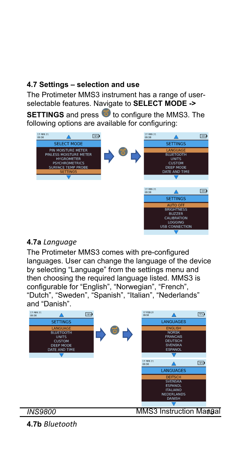## **4.7 Settings – selection and use**

The Protimeter MMS3 instrument has a range of userselectable features. Navigate to **SELECT MODE ->** 

**SETTINGS** and press **to** to configure the MMS3. The following options are available for configuring:



## **4.7a** *Language*

The Protimeter MMS3 comes with pre-configured languages. User can change the language of the device by selecting "Language" from the settings menu and then choosing the required language listed. MMS3 is configurable for "English", "Norwegian", "French", "Dutch", "Sweden", "Spanish", "Italian", "Nederlands" and "Danish".



**4.7b** *Bluetooth*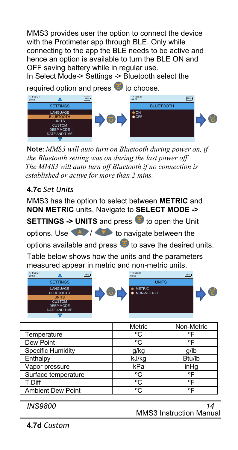MMS3 provides user the option to connect the device with the Protimeter app through BLE. Only while connecting to the app the BLE needs to be active and hence an option is available to turn the BLE ON and OFF saving battery while in regular use.

In Select Mode-> Settings -> Bluetooth select the

required option and press  $\bullet$  to choose.



 **Note:** *MMS3 will auto turn on Bluetooth during power on, if the Bluetooth setting was on during the last power off. The MMS3 will auto turn off Bluetooth if no connection is established or active for more than 2 mins.*

## **4.7c** *Set Units*

MMS3 has the option to select between **METRIC** and **NON METRIC** units. Navigate to **SELECT MODE ->** 

**SETTINGS -> UNITS** and press **to** to open the Unit

options. Use  $\left\langle \begin{array}{c} \bullet \\ \bullet \end{array} \right\rangle$  to navigate between the

options available and press  $\overline{\Phi}$  to save the desired units.

Table below shows how the units and the parameters measured appear in metric and non-metric units.

| 17 FEB 21<br>09:58 |                                                                                             | 78% | 17 FEB 21<br>09:58          | 78% |  |
|--------------------|---------------------------------------------------------------------------------------------|-----|-----------------------------|-----|--|
|                    | <b>SETTINGS</b>                                                                             |     | <b>UNITS</b>                |     |  |
|                    | LANGUAGE<br><b>BLUETOOTH</b><br><b>UNITS</b><br><b>CUSTOM</b><br>DEEP MODE<br>DATE AND TIME |     | <b>METRIC</b><br>NON-METRIC |     |  |
|                    |                                                                                             |     |                             |     |  |

|                          | Metric     | Non-Metric |
|--------------------------|------------|------------|
| Temperature              | °C         | ᅂ          |
| Dew Point                | ۰ς         | ᅂ          |
| <b>Specific Humidity</b> | g/kg       | q/lb       |
| Enthalpy                 | kJ/kg      | Btu/lb     |
| Vapor pressure           | kPa        | inHq       |
| Surface temperature      | °C         | οF         |
| T.Diff                   | °C.        | ᅂ          |
| <b>Ambient Dew Point</b> | $^{\circ}$ | ᅂ          |

MMS3 Instruction Manual *INS9800 14*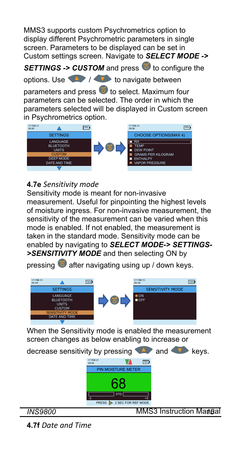MMS3 supports custom Psychrometrics option to display different Psychrometric parameters in single screen. Parameters to be displayed can be set in Custom settings screen. Navigate to *SELECT MODE ->* 

**SETTINGS -> CUSTOM** and press **to** to configure the

options. Use  $\left\langle \right\rangle$  /  $\left\langle \right\rangle$  to navigate between

parameters and press  $\bullet$  to select. Maximum four parameters can be selected. The order in which the parameters selected will be displayed in Custom screen in Psychrometrics option.



# **4.7e** *Sensitivity mode*

Sensitivity mode is meant for non-invasive measurement. Useful for pinpointing the highest levels of moisture ingress. For non-invasive measurement, the sensitivity of the measurement can be varied when this mode is enabled. If not enabled, the measurement is taken in the standard mode. Sensitivity mode can be enabled by navigating to *SELECT MODE-> SETTINGS- >SENSITIVITY MODE* and then selecting ON by

pressing  $\bullet$  after navigating using up / down keys.



When the Sensitivity mode is enabled the measurement screen changes as below enabling to increase or



**4.7f** *Date and Time*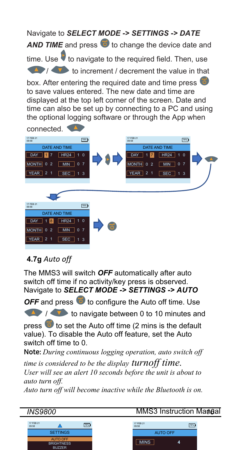# Navigate to *SELECT MODE -> SETTINGS -> DATE*  **AND TIME** and press **to** to change the device date and time. Use **the navigate to the required field. Then, use A**  $\sqrt{ }$  to increment / decrement the value in that

box. After entering the required date and time press to save values entered. The new date and time are displayed at the top left corner of the screen. Date and time can also be set up by connecting to a PC and using the optional logging software or through the App when



# **4.7g** *Auto off*

The MMS3 will switch *OFF* automatically after auto switch off time if no activity/key press is observed. Navigate to *SELECT MODE -> SETTINGS -> AUTO* 

**OFF** and press **th** to configure the Auto off time. Use

**1 to navigate between 0 to 10 minutes and** 

press  $\ddot{\bullet}$  to set the Auto off time (2 mins is the default value). To disable the Auto off feature, set the Auto switch off time to 0.

**Note:** *During continuous logging operation, auto switch off* 

*time is considered to be the display turnoff time. User will see an alert 10 seconds before the unit is about to auto turn off.*

*Auto turn off will become inactive while the Bluetooth is on.*



*INS9800* MMS3 Instruction Manual

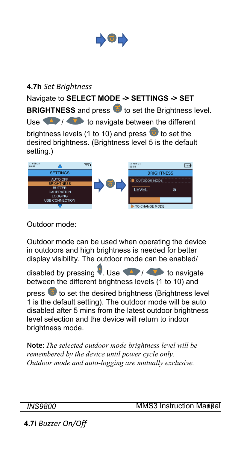

# **4.7h** *Set Brightness*

Navigate to **SELECT MODE -> SETTINGS -> SET BRIGHTNESS** and press **to** to set the Brightness level. Use  $\left\langle \right\rangle$  /  $\left\langle \right\rangle$  to navigate between the different brightness levels (1 to 10) and press  $\overline{\Phi}$  to set the desired brightness. (Brightness level 5 is the default setting.)



Outdoor mode:

Outdoor mode can be used when operating the device in outdoors and high brightness is needed for better display visibility. The outdoor mode can be enabled/

disabled by pressing  $\blacksquare$ . Use  $\blacksquare$  Use to navigate between the different brightness levels (1 to 10) and

press  $\overline{c}$  to set the desired brightness (Brightness level 1 is the default setting). The outdoor mode will be auto disabled after 5 mins from the latest outdoor brightness level selection and the device will return to indoor brightness mode.

**Note:** *The selected outdoor mode brightness level will be remembered by the device until power cycle only. Outdoor mode and auto-logging are mutually exclusive.*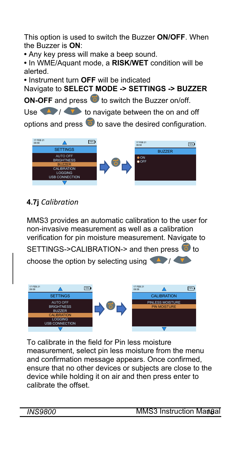This option is used to switch the Buzzer **ON/OFF**. When the Buzzer is **ON**:

**•** Any key press will make a beep sound.

**•** In WME/Aquant mode, a **RISK/WET** condition will be alerted.

**•** Instrument turn **OFF** will be indicated

Navigate to **SELECT MODE -> SETTINGS -> BUZZER** 

**ON-OFF** and press **to** to switch the Buzzer on/off.

Use  $\sqrt{1 + \frac{1}{x}}$  to navigate between the on and off

options and press  $\overline{\Phi}$  to save the desired configuration.



**4.7j** *Calibration*

MMS3 provides an automatic calibration to the user for non-invasive measurement as well as a calibration verification for pin moisture measurement. Navigate to

SETTINGS->CALIBRATION-> and then press to

choose the option by selecting using  $\left\langle \right\rangle$ 



To calibrate in the field for Pin less moisture measurement, select pin less moisture from the menu and confirmation message appears. Once confirmed, ensure that no other devices or subjects are close to the device while holding it on air and then press enter to calibrate the offset.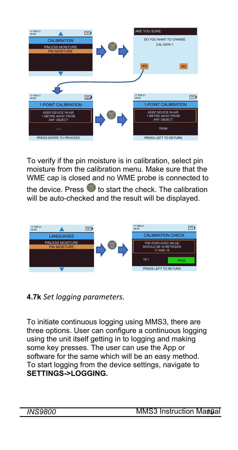

To verify if the pin moisture is in calibration, select pin moisture from the calibration menu. Make sure that the WME cap is closed and no WME probe is connected to

the device. Press  $\bullet$  to start the check. The calibration will be auto-checked and the result will be displayed.



**4.7k** *Set logging parameters.*

To initiate continuous logging using MMS3, there are three options. User can configure a continuous logging using the unit itself getting in to logging and making some key presses. The user can use the App or software for the same which will be an easy method. To start logging from the device settings, navigate to **SETTINGS->LOGGING.**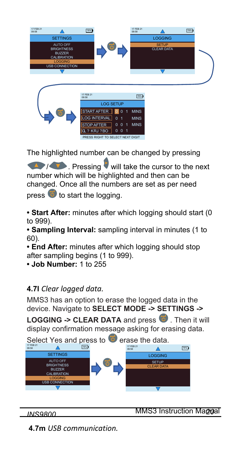



The highlighted number can be changed by pressing

*A* / **Pressing** will take the cursor to the next number which will be highlighted and then can be changed. Once all the numbers are set as per need

press  $\bullet$  to start the logging.

**• Start After:** minutes after which logging should start (0 to 999).

**• Sampling Interval:** sampling interval in minutes (1 to 60).

- **End After:** minutes after which logging should stop after sampling begins (1 to 999).
- **Job Number:** 1 to 255

## **4.7l** *Clear logged data.*

MMS3 has an option to erase the logged data in the device. Navigate to **SELECT MODE -> SETTINGS ->** 

**LOGGING -> CLEAR DATA** and press **D**. Then it will display confirmation message asking for erasing data.



## **INS9800** MMS3 Instruction Manual

**4.7m** *USB communication.*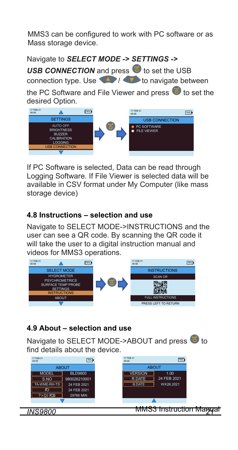MMS3 can be configured to work with PC software or as Mass storage device.

Navigate to *SELECT MODE -> SETTINGS ->*

**USB CONNECTION** and press **to** to set the USB connection type. Use  $\left\langle \right\rangle$  /  $\left\langle \right\rangle$  to navigate between

the PC Software and File Viewer and press  $\overline{\bullet}$  to set the desired Option.



If PC Software is selected, Data can be read through Logging Software. If File Viewer is selected data will be available in CSV format under My Computer (like mass storage device)

## **4.8 Instructions – selection and use**

Navigate to SELECT MODE->INSTRUCTIONS and the user can see a QR code. By scanning the QR code it will take the user to a digital instruction manual and videos for MMS3 operations.



## **4.9 About – selection and use**

Navigate to SELECT MODE->ABOUT and press  $\bullet$  to find details about the device.

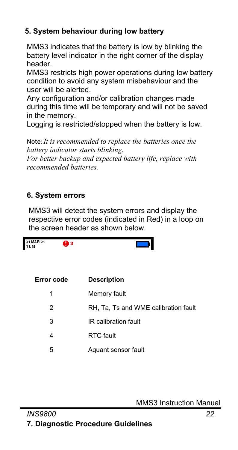# **5. System behaviour during low battery**

MMS3 indicates that the battery is low by blinking the battery level indicator in the right corner of the display header.

MMS3 restricts high power operations during low battery condition to avoid any system misbehaviour and the user will be alerted.

Any configuration and/or calibration changes made during this time will be temporary and will not be saved in the memory.

Logging is restricted/stopped when the battery is low.

**Note:** *It is recommended to replace the batteries once the battery indicator starts blinking.*

*For better backup and expected battery life, replace with recommended batteries.*

# **6. System errors**

MMS3 will detect the system errors and display the respective error codes (indicated in Red) in a loop on the screen header as shown below.

| 31 MAR 21<br>11:15 | Dз |                                      |
|--------------------|----|--------------------------------------|
| Error code         |    | <b>Description</b>                   |
| 1                  |    | Memory fault                         |
| 2                  |    | RH, Ta, Ts and WME calibration fault |
| 3                  |    | IR calibration fault                 |
| 4                  |    | RTC fault                            |
| 5                  |    | Aquant sensor fault                  |

MMS3 Instruction Manual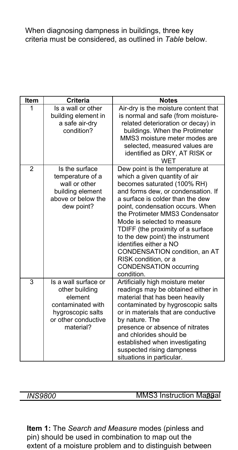When diagnosing dampness in buildings, three key criteria must be considered, as outlined in *Table* below.

| Item           | <b>Criteria</b>                                                                                                                 | <b>Notes</b>                                                                                                                                                                                                                                                                                                                                                                                                                                                                               |
|----------------|---------------------------------------------------------------------------------------------------------------------------------|--------------------------------------------------------------------------------------------------------------------------------------------------------------------------------------------------------------------------------------------------------------------------------------------------------------------------------------------------------------------------------------------------------------------------------------------------------------------------------------------|
| 1              | Is a wall or other<br>building element in<br>a safe air-dry<br>condition?                                                       | Air-dry is the moisture content that<br>is normal and safe (from moisture-<br>related deterioration or decay) in<br>buildings. When the Protimeter<br>MMS3 moisture meter modes are<br>selected, measured values are<br>identified as DRY, AT RISK or<br><b>WFT</b>                                                                                                                                                                                                                        |
| $\overline{2}$ | Is the surface<br>temperature of a<br>wall or other<br>building element<br>above or below the<br>dew point?                     | Dew point is the temperature at<br>which a given quantity of air<br>becomes saturated (100% RH)<br>and forms dew, or condensation. If<br>a surface is colder than the dew<br>point, condensation occurs. When<br>the Protimeter MMS3 Condensator<br>Mode is selected to measure<br>TDIFF (the proximity of a surface<br>to the dew point) the instrument<br>identifies either a NO<br>CONDENSATION condition, an AT<br>RISK condition, or a<br><b>CONDENSATION occurring</b><br>condition. |
| 3              | Is a wall surface or<br>other building<br>element<br>contaminated with<br>hygroscopic salts<br>or other conductive<br>material? | Artificially high moisture meter<br>readings may be obtained either in<br>material that has been heavily<br>contaminated by hygroscopic salts<br>or in materials that are conductive<br>by nature. The<br>presence or absence of nitrates<br>and chlorides should be<br>established when investigating<br>suspected rising dampness<br>situations in particular.                                                                                                                           |

*INS9800* MMS3 Instruction Maggal

**Item 1:** The *Search and Measure* modes (pinless and pin) should be used in combination to map out the extent of a moisture problem and to distinguish between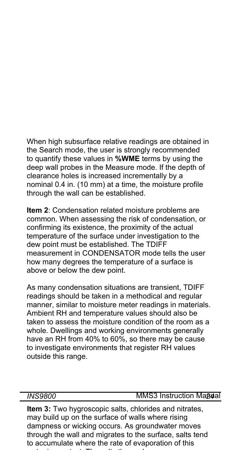When high subsurface relative readings are obtained in the Search mode, the user is strongly recommended to quantify these values in **%WME** terms by using the deep wall probes in the Measure mode. If the depth of clearance holes is increased incrementally by a nominal 0.4 in. (10 mm) at a time, the moisture profile through the wall can be established.

**Item 2**: Condensation related moisture problems are common. When assessing the risk of condensation, or confirming its existence, the proximity of the actual temperature of the surface under investigation to the dew point must be established. The TDIFF measurement in CONDENSATOR mode tells the user how many degrees the temperature of a surface is above or below the dew point.

As many condensation situations are transient, TDIFF readings should be taken in a methodical and regular manner, similar to moisture meter readings in materials. Ambient RH and temperature values should also be taken to assess the moisture condition of the room as a whole. Dwellings and working environments generally have an RH from 40% to 60%, so there may be cause to investigate environments that register RH values outside this range.

#### *INS9800* MMS3 Instruction Magaal

**Item 3:** Two hygroscopic salts, chlorides and nitrates, may build up on the surface of walls where rising dampness or wicking occurs. As groundwater moves through the wall and migrates to the surface, salts tend to accumulate where the rate of evaporation of this t i t t Th lt th l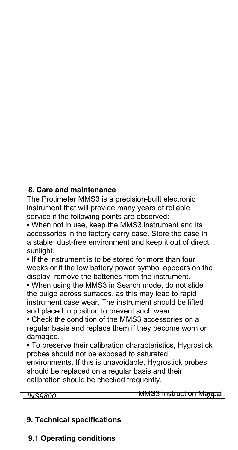## **8. Care and maintenance**

The Protimeter MMS3 is a precision-built electronic instrument that will provide many years of reliable service if the following points are observed:

**•** When not in use, keep the MMS3 instrument and its accessories in the factory carry case. Store the case in a stable, dust-free environment and keep it out of direct sunlight.

**•** If the instrument is to be stored for more than four weeks or if the low battery power symbol appears on the display, remove the batteries from the instrument.

**•** When using the MMS3 in Search mode, do not slide the bulge across surfaces, as this may lead to rapid instrument case wear. The instrument should be lifted and placed in position to prevent such wear.

**•** Check the condition of the MMS3 accessories on a regular basis and replace them if they become worn or damaged.

**•** To preserve their calibration characteristics, Hygrostick probes should not be exposed to saturated

environments. If this is unavoidable, Hygrostick probes should be replaced on a regular basis and their calibration should be checked frequently.

*INS9800 25* MMS3 Instruction Manual

## **9. Technical specifications**

**9.1 Operating conditions**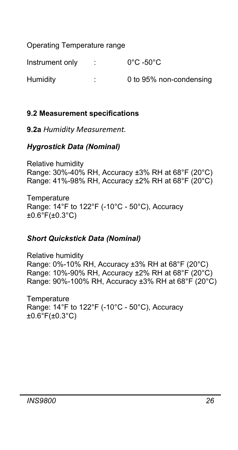Operating Temperature range

Instrument only : 0°C -50°C Humidity : 0 to 95% non-condensing

# **9.2 Measurement specifications**

**9.2a** *Humidity Measurement.*

# *Hygrostick Data (Nominal)*

Relative humidity Range: 30%-40% RH, Accuracy ±3% RH at 68°F (20°C) Range: 41%-98% RH, Accuracy ±2% RH at 68°F (20°C)

**Temperature** Range: 14°F to 122°F (-10°C - 50°C), Accuracy  $±0.6^{\circ}F(±0.3^{\circ}C)$ 

## *Short Quickstick Data (Nominal)*

Relative humidity Range: 0%-10% RH, Accuracy ±3% RH at 68°F (20°C) Range: 10%-90% RH, Accuracy ±2% RH at 68°F (20°C) Range: 90%-100% RH, Accuracy ±3% RH at 68°F (20°C)

**Temperature** Range: 14°F to 122°F (-10°C - 50°C), Accuracy ±0.6°F(±0.3°C)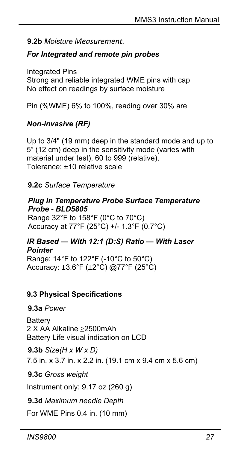## **9.2b** *Moisture Measurement.*

## *For Integrated and remote pin probes*

Integrated Pins Strong and reliable integrated WME pins with cap No effect on readings by surface moisture

Pin (%WME) 6% to 100%, reading over 30% are

# *Non-invasive (RF)*

Up to 3/4" (19 mm) deep in the standard mode and up to 5" (12 cm) deep in the sensitivity mode (varies with material under test), 60 to 999 (relative), Tolerance: ±10 relative scale

# **9.2c** *Surface Temperature*

### *Plug in Temperature Probe Surface Temperature Probe - BLD5805*

Range 32°F to 158°F (0°C to 70°C) Accuracy at 77°F (25°C) +/- 1.3°F (0.7°C)

#### *IR Based — With 12:1 (D:S) Ratio — With Laser Pointer*

Range: 14°F to 122°F (-10°C to 50°C) Accuracy: ±3.6°F (±2°C) @77°F (25°C)

## **9.3 Physical Specifications**

## **9.3a** *Power*

**Battery** 2 X AA Alkaline ≥2500mAh Battery Life visual indication on LCD

**9.3b** *Size(H x W x D)* 7.5 in. x 3.7 in. x 2.2 in. (19.1 cm x 9.4 cm x 5.6 cm)

## **9.3c** *Gross weight*

Instrument only: 9.17 oz (260 g)

**9.3d** *Maximum needle Depth*

For WME Pins 0.4 in. (10 mm)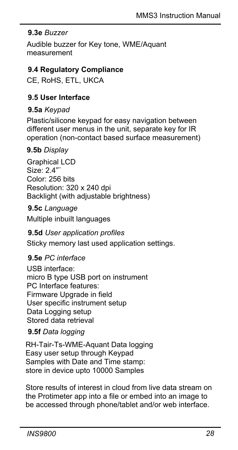## **9.3e** *Buzzer*

Audible buzzer for Key tone, WME/Aquant measurement

## **9.4 Regulatory Compliance**

CE, RoHS, ETL, UKCA

# **9.5 User Interface**

## **9.5a** *Keypad*

Plastic/silicone keypad for easy navigation between different user menus in the unit, separate key for IR operation (non-contact based surface measurement)

## **9.5b** *Display*

Graphical LCD Size:  $2.4"$ Color: 256 bits Resolution: 320 x 240 dpi Backlight (with adjustable brightness)

## **9.5c** *Language*

Multiple inbuilt languages

## **9.5d** *User application profiles*

Sticky memory last used application settings.

## **9.5e** *PC interface*

USB interface: micro B type USB port on instrument PC Interface features: Firmware Upgrade in field User specific instrument setup Data Logging setup Stored data retrieval

## **9.5f** *Data logging*

RH-Tair-Ts-WME-Aquant Data logging Easy user setup through Keypad Samples with Date and Time stamp: store in device upto 10000 Samples

Store results of interest in cloud from live data stream on the Protimeter app into a file or embed into an image to be accessed through phone/tablet and/or web interface.